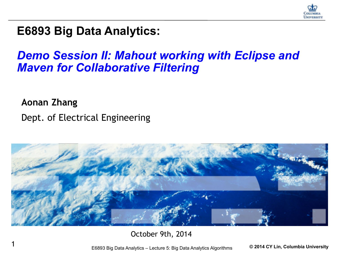

#### **E6893 Big Data Analytics:**

#### *Demo Session II: Mahout working with Eclipse and Maven for Collaborative Filtering*

**Aonan Zhang** Dept. of Electrical Engineering



October 9th, 2014

1 E6893 Big Data Analytics – Lecture 5: Big Data Analytics Algorithms **© 2014 CY Lin, Columbia University**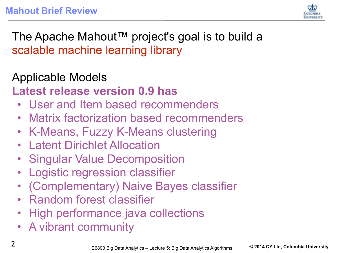

The Apache Mahout™ project's goal is to build a scalable machine learning library

Applicable Models **Latest release version 0.9 has** 

- User and Item based recommenders
- Matrix factorization based recommenders
- K-Means, Fuzzy K-Means clustering
- **Latent Dirichlet Allocation**
- Singular Value Decomposition
- **Logistic regression classifier**
- (Complementary) Naive Bayes classifier
- Random forest classifier
- High performance java collections
- A vibrant community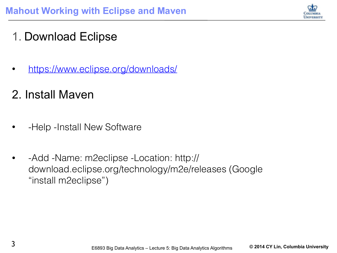

#### 1. Download Eclipse

• <https://www.eclipse.org/downloads/>

#### 2. Install Maven

- -Help -Install New Software
- -Add -Name: m2eclipse -Location: http:// download.eclipse.org/technology/m2e/releases (Google "install m2eclipse")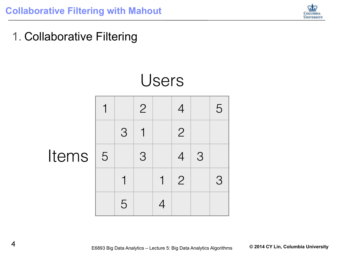

1. Collaborative Filtering

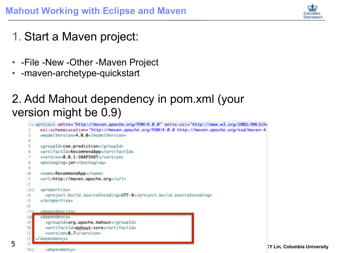

- 1. Start a Maven project:
- -File -New -Other -Maven Project
- -maven-archetype-quickstart

#### 2. Add Mahout dependency in pom.xml (your version might be 0.9)

```
10 <project xmlns="http://maven.apache.org/POM/4.0.0" xmlns:xsi="http://www.w3.org/2001/XMLSche
             xsi:schemalocation="http://maven.apache.org/POM/4.0.0 http://maven.apache.org/xsd/maven-4
        2
        3
             <modelVersion>4.0.0</modelVersion>
        4
       5
             <groupId>com.prediction</groupId>
             <artifactId>RecommendApp</artifactId>
       6
        7
             <version>0.0.1-SNAPSHOT</version>
       8
             <packaging>jar</packaging>
       9
       LØ.
             <name>RecommendApp</name>
             <url>http://maven.apache.org</url>
      \lfloor 1 \rfloor123<sub>°</sub><properties>
       \lfloor 4 \rfloor<project.build.sourceEncoding>UTF-8</project.build.sourceEncoding>
       L5
             </properties>
       16
       7<sub>°</sub><dependencies>
       186<dependency>
                <groupId>org.apache.mahout</groupId>
       |9|20<artifactId>mahout-core</artifactId>
       \mathbf{1}<version>0.7</version>
       12
           </dependency>
5 Big Data Analytics – Lecture 5: Big Data Analytics – Lecture 5: Big Data Analytics Algorithms Columbia University<br>Paper of the state analytics and the state of the state of the state of the state of the state of the st
```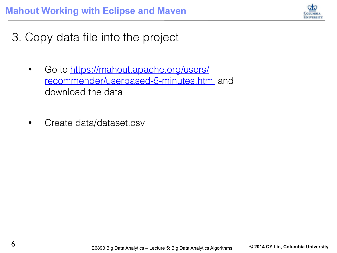

3. Copy data file into the project

- Go to https://mahout.apache.org/users/ [recommender/userbased-5-minutes.html](https://mahout.apache.org/users/recommender/userbased-5-minutes.html) and download the data
- Create data/dataset.csv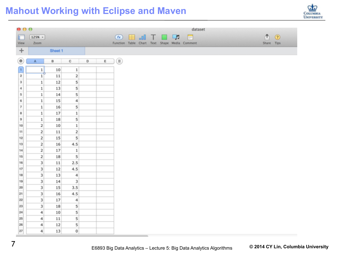#### **Mahout Working with Eclipse and Maven**

| $\mathbf{\Theta} \mathbf{\Theta} \mathbf{\Theta}$ |                           |    |                           |                                                                                          |                                                                                      |  |  |  | dataset                                       |  |            |         |
|---------------------------------------------------|---------------------------|----|---------------------------|------------------------------------------------------------------------------------------|--------------------------------------------------------------------------------------|--|--|--|-----------------------------------------------|--|------------|---------|
| г                                                 | $125%$ -                  |    |                           |                                                                                          | $\bullet$ $\blacksquare$ $\blacksquare$ $\blacksquare$ $\blacksquare$ $\blacksquare$ |  |  |  |                                               |  | ቶነ         | $\odot$ |
| View                                              | Zoom                      |    |                           |                                                                                          |                                                                                      |  |  |  | Function Table Chart Text Shape Media Comment |  | Share Tips |         |
| $\ddot{}$                                         | Shoot 1                   |    |                           |                                                                                          |                                                                                      |  |  |  |                                               |  |            |         |
|                                                   |                           |    |                           |                                                                                          |                                                                                      |  |  |  |                                               |  |            |         |
| ۰                                                 | A                         | B  | с<br>and the control      | $\begin{array}{c c c c c} \mathsf{D} & \mathsf{E} & \mathsf{E} & \mathsf{I} \end{array}$ |                                                                                      |  |  |  |                                               |  |            |         |
| $\mathbf 1$                                       | 1 <sup>1</sup><br>-6      | 10 | $\,1$                     |                                                                                          |                                                                                      |  |  |  |                                               |  |            |         |
| $\overline{2}$                                    | 1                         | 11 | $\mathbf 2$               |                                                                                          |                                                                                      |  |  |  |                                               |  |            |         |
| $\scriptstyle 3$<br>۰                             | $\mathbf{1}$              | 12 | 5                         |                                                                                          |                                                                                      |  |  |  |                                               |  |            |         |
| $\ddot{4}$                                        | $\,1$                     | 13 | 5                         |                                                                                          |                                                                                      |  |  |  |                                               |  |            |         |
| 5                                                 | $\,1$                     | 14 | 5                         |                                                                                          |                                                                                      |  |  |  |                                               |  |            |         |
| 6                                                 | $\,1$                     | 15 | 4                         |                                                                                          |                                                                                      |  |  |  |                                               |  |            |         |
| ۰<br>$\overline{\mathfrak{r}}$                    | $\mathbf 1$               | 16 | 5                         |                                                                                          |                                                                                      |  |  |  |                                               |  |            |         |
| 8                                                 | $\,1$                     | 17 | $\,$ 1                    |                                                                                          |                                                                                      |  |  |  |                                               |  |            |         |
| ۰<br>9                                            | $\,1$                     | 18 | 5                         |                                                                                          |                                                                                      |  |  |  |                                               |  |            |         |
| 10                                                | $\overline{\mathbf{c}}$   | 10 | $\,1$                     |                                                                                          |                                                                                      |  |  |  |                                               |  |            |         |
| 11                                                | 2                         | 11 | 2                         |                                                                                          |                                                                                      |  |  |  |                                               |  |            |         |
| 12                                                | $\overline{2}$            | 15 | 5                         |                                                                                          |                                                                                      |  |  |  |                                               |  |            |         |
| 13                                                | $\overline{2}$            | 16 | 4.5                       |                                                                                          |                                                                                      |  |  |  |                                               |  |            |         |
| 14                                                | $\overline{2}$            | 17 | $\,$ 1                    |                                                                                          |                                                                                      |  |  |  |                                               |  |            |         |
| 15                                                | $\overline{2}$            | 18 | 5                         |                                                                                          |                                                                                      |  |  |  |                                               |  |            |         |
| 16                                                | $\overline{\mathbf{3}}$   | 11 | 2.5                       |                                                                                          |                                                                                      |  |  |  |                                               |  |            |         |
| 17                                                | $\overline{\mathbf{3}}$   | 12 | 4.5                       |                                                                                          |                                                                                      |  |  |  |                                               |  |            |         |
| 18                                                | 3                         | 13 | $\boldsymbol{4}$          |                                                                                          |                                                                                      |  |  |  |                                               |  |            |         |
| -<br>19                                           | $\ensuremath{\mathsf{3}}$ | 14 | $\ensuremath{\mathsf{3}}$ |                                                                                          |                                                                                      |  |  |  |                                               |  |            |         |
| 20                                                | $\ensuremath{\mathsf{3}}$ | 15 | 3.5                       |                                                                                          |                                                                                      |  |  |  |                                               |  |            |         |
| 21                                                | 3                         | 16 | 4.5                       |                                                                                          |                                                                                      |  |  |  |                                               |  |            |         |
| 22                                                | $\overline{\mathbf{3}}$   | 17 | 4                         |                                                                                          |                                                                                      |  |  |  |                                               |  |            |         |
| ۰<br>$\mathbf{23}$                                | $\ensuremath{\mathbf{3}}$ | 18 | 5                         |                                                                                          |                                                                                      |  |  |  |                                               |  |            |         |
| $24\,$                                            | $\ddot{\phantom{a}}$      | 10 | 5                         |                                                                                          |                                                                                      |  |  |  |                                               |  |            |         |
| 25                                                | $\overline{4}$            | 11 | 5                         |                                                                                          |                                                                                      |  |  |  |                                               |  |            |         |
| 26                                                | 4                         | 12 | 5                         |                                                                                          |                                                                                      |  |  |  |                                               |  |            |         |
| 27                                                | $\frac{4}{3}$             | 13 | $\mathbf 0$               |                                                                                          |                                                                                      |  |  |  |                                               |  |            |         |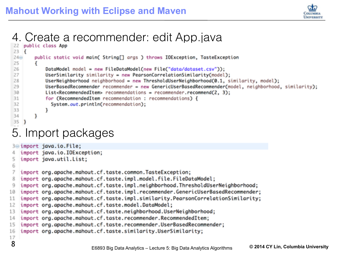

# 4. Create a recommender: edit App.java

```
23 \t{f}24\opluspublic static void main( String[] args ) throws IOException, TasteException
25
        Ł
            DataModel model = new FileDataModel(new File("data/dataset.csv"));
26
27
            UserSimilarity similarity = new PearsonCorrelationSimilarity(model);
28
            Use rNei ghborhood neighborhood = new ThresholddUse rNei ghborhood(0.1, similarity, model);29
            UserBasedRecommender recommender = new GenericUserBasedRecommender(model, neighborhood, similarity);
30
            List<RecommendedItem> recommendations = recommender.recommend(2, 3);
31
            for (RecommendedItem recommendation : recommendations) {
32
              System.out.println(recommendation);
33
            ŀ
34
        ł
35
    3
5. Import packages3<sup>e</sup> import java.io.File;
```

```
import java.io.IOException:
   import java.util.List;
 \overline{\mathsf{s}}6
   import org.apache.mahout.cf.taste.common.TasteException;
   import org.apache.mahout.cf.taste.impl.model.file.FileDataModel;
 8
   import org.apache.mahout.cf.taste.impl.neighborhood.ThresholdUserNeighborhood;
9
   import org.apache.mahout.cf.taste.impl.recommender.GenericUserBasedRecommender:
10
   import org.apache.mahout.cf.taste.impl.similarity.PearsonCorrelationSimilarity;
11
12import org.apache.mahout.cf.taste.model.DataModel;
   import org.apache.mahout.cf.taste.neighborhood.UserNeighborhood;
13
14
   import org.apache.mahout.cf.taste.recommender.RecommendedItem;
15
   import org.apache.mahout.cf.taste.recommender.UserBasedRecommender;
   import org.apache.mahout.cf.taste.similarity.UserSimilarity;
16
17
8 E6893 Big Data Analytics – Lecture 5: Big Data Analytics Algorithms © 2014 CY Lin, Columbia University
```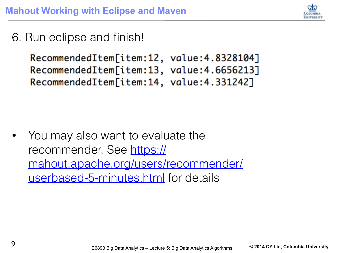

6. Run eclipse and finish!

```
RecommendedItem[item:12, value:4.8328104]
RecommendedItem[item:13, value:4.6656213]
RecommendedItem[item:14, value:4.331242]
```
• You may also want to evaluate the recommender. See https:// [mahout.apache.org/users/recommender/](https://mahout.apache.org/users/recommender/userbased-5-minutes.html) userbased-5-minutes.html for details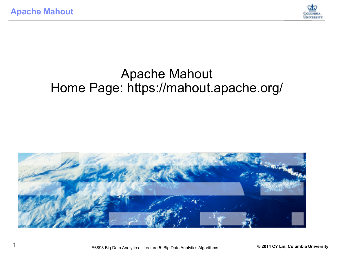

#### Apache Mahout Home Page: https://mahout.apache.org/

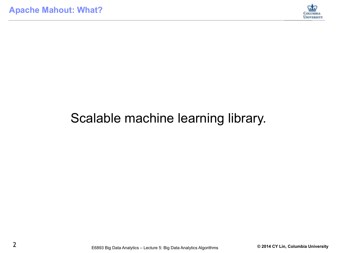

# Scalable machine learning library.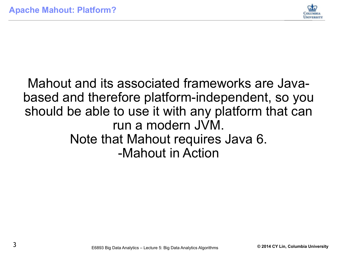

#### Mahout and its associated frameworks are Javabased and therefore platform-independent, so you should be able to use it with any platform that can run a modern JVM. Note that Mahout requires Java 6. -Mahout in Action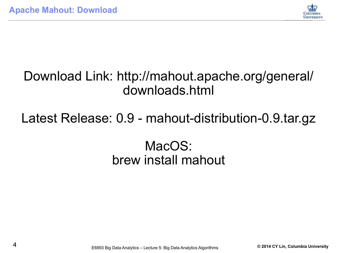

## Download Link: http://mahout.apache.org/general/ downloads.html

# Latest Release: 0.9 - mahout-distribution-0.9.tar.gz

# MacOS: brew install mahout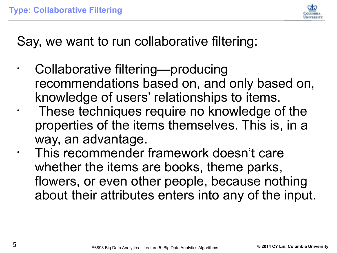

Say, we want to run collaborative filtering:

- Collaborative filtering—producing recommendations based on, and only based on, knowledge of users' relationships to items.
	- These techniques require no knowledge of the properties of the items themselves. This is, in a way, an advantage.
- This recommender framework doesn't care whether the items are books, theme parks, flowers, or even other people, because nothing about their attributes enters into any of the input.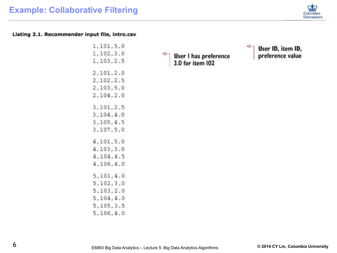

#### Listing 2.1. Recommender input file, intro.csv

| 1,101,5.0   |  |
|-------------|--|
| 1,102,3.0   |  |
| 1,103,2.5   |  |
| 2,101,2.0   |  |
| 2,102,2.5   |  |
| 2,103,5.0   |  |
| 2,104,2.0   |  |
| 3,101,2.5   |  |
| 3, 104, 4.0 |  |
| 3, 105, 4.5 |  |
| 3,107,5.0   |  |
| 4,101,5.0   |  |
| 4,103,3.0   |  |
| 4,104,4.5   |  |
| 4,106,4.0   |  |
| 5, 101, 4.0 |  |
| 5, 102, 3.0 |  |
| 5,103,2.0   |  |
| 5, 104, 4.0 |  |
| 5,105,3.5   |  |
| 5,106,4.0   |  |

⇽ User I has preference<br>3.0 for item 102

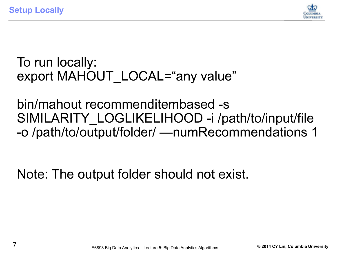**Setup Locally**



To run locally: export MAHOUT LOCAL="any value"

bin/mahout recommenditembased -s SIMILARITY\_LOGLIKELIHOOD -i /path/to/input/file -o /path/to/output/folder/ —numRecommendations 1

Note: The output folder should not exist.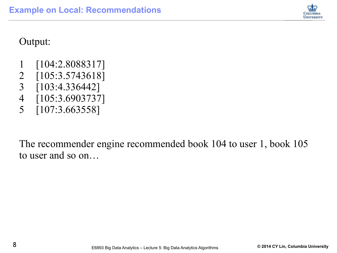

#### Output:

- 1 [104:2.8088317]
- 2 [105:3.5743618]
- 3 [103:4.336442]
- 4 [105:3.6903737]
- 5 [107:3.663558]

The recommender engine recommended book 104 to user 1, book 105 to user and so on…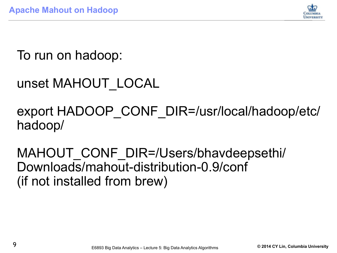

To run on hadoop:

```
unset MAHOUT_LOCAL
```
export HADOOP\_CONF\_DIR=/usr/local/hadoop/etc/ hadoop/

MAHOUT CONF DIR=/Users/bhavdeepsethi/ Downloads/mahout-distribution-0.9/conf (if not installed from brew)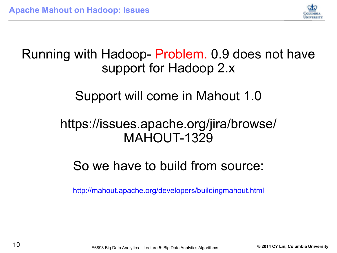

## Running with Hadoop- Problem. 0.9 does not have support for Hadoop 2.x

Support will come in Mahout 1.0

#### https://issues.apache.org/jira/browse/ MAHOUT-1329

# So we have to build from source:

<http://mahout.apache.org/developers/buildingmahout.html>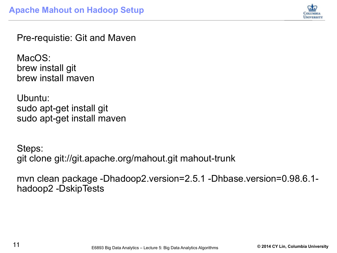

Pre-requistie: Git and Maven

MacOS: brew install git brew install maven

Ubuntu: sudo apt-get install git sudo apt-get install maven

Steps: git clone git://git.apache.org/mahout.git mahout-trunk

mvn clean package -Dhadoop2.version=2.5.1 -Dhbase.version=0.98.6.1 hadoop2 -DskipTests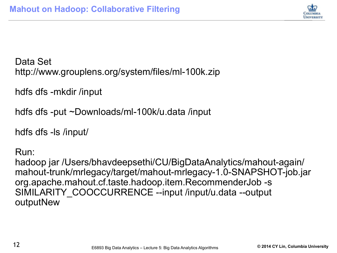

Data Set http://www.grouplens.org/system/files/ml-100k.zip

hdfs dfs -mkdir /input

hdfs dfs -put ~Downloads/ml-100k/u.data /input

hdfs dfs -ls /input/

Run:

hadoop jar /Users/bhavdeepsethi/CU/BigDataAnalytics/mahout-again/ mahout-trunk/mrlegacy/target/mahout-mrlegacy-1.0-SNAPSHOT-job.jar org.apache.mahout.cf.taste.hadoop.item.RecommenderJob -s SIMILARITY\_COOCCURRENCE --input /input/u.data --output outputNew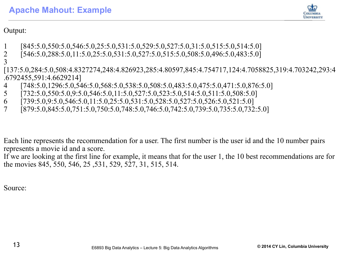

Output:

- 1 [845:5.0,550:5.0,546:5.0,25:5.0,531:5.0,529:5.0,527:5.0,31:5.0,515:5.0,514:5.0]
- 2 [546:5.0,288:5.0,11:5.0,25:5.0,531:5.0,527:5.0,515:5.0,508:5.0,496:5.0,483:5.0]
- 3
- [137:5.0,284:5.0,508:4.8327274,248:4.826923,285:4.80597,845:4.754717,124:4.7058825,319:4.703242,293:4 .6792455,591:4.6629214]
- 4 [748:5.0,1296:5.0,546:5.0,568:5.0,538:5.0,508:5.0,483:5.0,475:5.0,471:5.0,876:5.0]
- 5 [732:5.0,550:5.0,9:5.0,546:5.0,11:5.0,527:5.0,523:5.0,514:5.0,511:5.0,508:5.0]
- 6  $[739:5.0, 9:5.0, 546:5.0, 11:5.0, 25:5.0, 531:5.0, 528:5.0, 527:5.0, 526:5.0, 521:5.0]$
- 7 [879:5.0,845:5.0,751:5.0,750:5.0,748:5.0,746:5.0,742:5.0,739:5.0,735:5.0,732:5.0]

Each line represents the recommendation for a user. The first number is the user id and the 10 number pairs represents a movie id and a score.

If we are looking at the first line for example, it means that for the user 1, the 10 best recommendations are for the movies 845, 550, 546, 25 ,531, 529, 527, 31, 515, 514.

Source: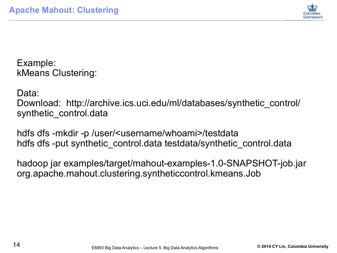

Example: kMeans Clustering:

Data:

Download: http://archive.ics.uci.edu/ml/databases/synthetic\_control/ synthetic control.data

hdfs dfs -mkdir -p /user/<username/whoami>/testdata hdfs dfs -put synthetic control.data testdata/synthetic control.data

hadoop jar examples/target/mahout-examples-1.0-SNAPSHOT-job.jar org.apache.mahout.clustering.syntheticcontrol.kmeans.Job